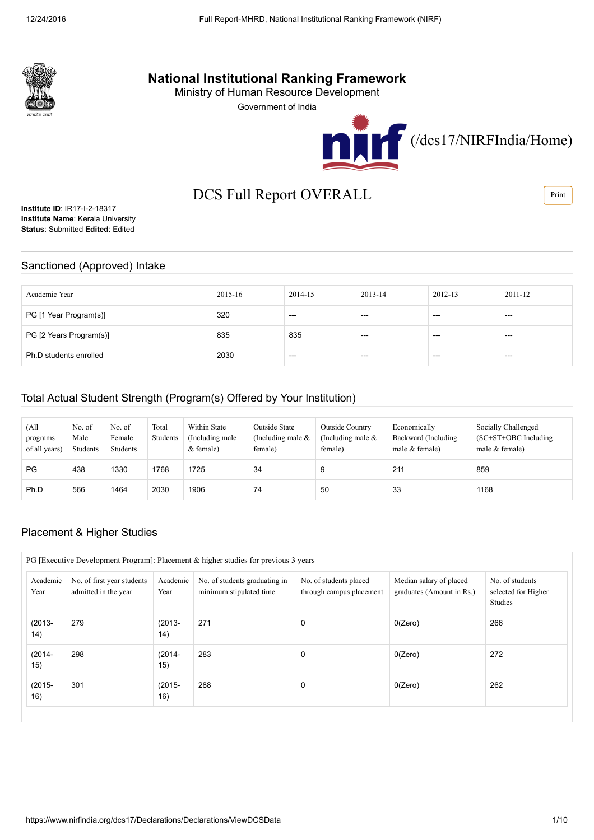

# National Institutional Ranking Framework

Ministry of Human Resource Development

Government of India





# DCS Full Report OVERALL

**Institute ID: IR17-I-2-18317** Institute Name: Kerala University Status: Submitted Edited: Edited

### Sanctioned (Approved) Intake

| Academic Year           | 2015-16 | 2014-15 | 2013-14 | 2012-13 | 2011-12 |
|-------------------------|---------|---------|---------|---------|---------|
| PG [1 Year Program(s)]  | 320     | $--$    | $--$    | ---     | $--$    |
| PG [2 Years Program(s)] | 835     | 835     | ---     | ---     | ---     |
| Ph.D students enrolled  | 2030    | $- - -$ | ---     | ---     | $--$    |

### Total Actual Student Strength (Program(s) Offered by Your Institution)

| (All<br>programs<br>of all years) | No. of<br>Male<br>Students | No. of<br>Female<br>Students | Total<br>Students | Within State<br>(Including male)<br>$&$ female) | Outside State<br>(Including male $\&$<br>female) | Outside Country<br>(Including male $\&$<br>female) | Economically<br>Backward (Including<br>male $&$ female) | Socially Challenged<br>$SC+ST+OBC$ Including<br>male $&$ female) |
|-----------------------------------|----------------------------|------------------------------|-------------------|-------------------------------------------------|--------------------------------------------------|----------------------------------------------------|---------------------------------------------------------|------------------------------------------------------------------|
| PG                                | 438                        | 1330                         | 1768              | 1725                                            | 34                                               |                                                    | 211                                                     | 859                                                              |
| Ph.D                              | 566                        | 1464                         | 2030              | 1906                                            | 74                                               | 50                                                 | 33                                                      | 1168                                                             |

### Placement & Higher Studies

| PG [Executive Development Program]: Placement & higher studies for previous 3 years |                                                    |                  |                                                          |                                                    |                                                      |                                                   |  |  |  |  |
|-------------------------------------------------------------------------------------|----------------------------------------------------|------------------|----------------------------------------------------------|----------------------------------------------------|------------------------------------------------------|---------------------------------------------------|--|--|--|--|
| Academic<br>Year                                                                    | No. of first year students<br>admitted in the year | Academic<br>Year | No. of students graduating in<br>minimum stipulated time | No. of students placed<br>through campus placement | Median salary of placed<br>graduates (Amount in Rs.) | No. of students<br>selected for Higher<br>Studies |  |  |  |  |
| $(2013 -$<br>14)                                                                    | 279                                                | $(2013 -$<br>14) | 271<br>0                                                 |                                                    | 0(Zero)                                              | 266                                               |  |  |  |  |
| $(2014 -$<br>15)                                                                    | 298                                                | $(2014 -$<br>15) | 283                                                      | 0                                                  | 0(Zero)                                              | 272                                               |  |  |  |  |
| $(2015 -$<br>16)                                                                    | 301<br>$(2015 -$<br>16)                            |                  | 288<br>0                                                 |                                                    | 0(Zero)                                              | 262                                               |  |  |  |  |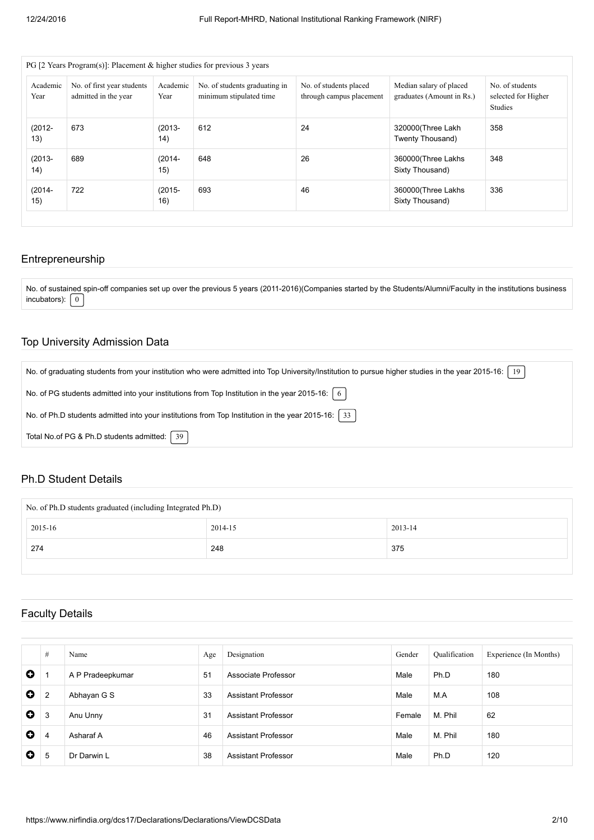| Academic<br>Year                            | No. of first year students<br>admitted in the year | Academic<br>Year | No. of students graduating in<br>minimum stipulated time | No. of students placed<br>through campus placement | Median salary of placed<br>graduates (Amount in Rs.) | No. of students<br>selected for Higher<br>Studies |
|---------------------------------------------|----------------------------------------------------|------------------|----------------------------------------------------------|----------------------------------------------------|------------------------------------------------------|---------------------------------------------------|
| $(2012 -$<br>673<br>$(2013 -$<br>13)<br>14) |                                                    | 612<br>24        |                                                          | 320000(Three Lakh<br>Twenty Thousand)              | 358                                                  |                                                   |
| $(2013 -$<br>14)                            | 689                                                | $(2014 -$<br>15) | 648                                                      | 26                                                 | 360000(Three Lakhs<br>Sixty Thousand)                | 348                                               |
| 722<br>$(2014 -$<br>$(2015 -$<br>15)        |                                                    | 16)              | 693                                                      | 46                                                 | 360000(Three Lakhs<br>Sixty Thousand)                | 336                                               |

### Entrepreneurship

No. of sustained spin-off companies set up over the previous 5 years (2011-2016)(Companies started by the Students/Alumni/Faculty in the institutions business incubators):  $\boxed{0}$ 

### Top University Admission Data

| No. of graduating students from your institution who were admitted into Top University/Institution to pursue higher studies in the year 2015-16:   19 |
|-------------------------------------------------------------------------------------------------------------------------------------------------------|
| No. of PG students admitted into your institutions from Top Institution in the year 2015-16: $\mid 6 \mid$                                            |
| No. of Ph.D students admitted into your institutions from Top Institution in the year 2015-16: 3                                                      |
| Total No.of PG & Ph.D students admitted:   39                                                                                                         |

### Ph.D Student Details

| No. of Ph.D students graduated (including Integrated Ph.D) |         |         |  |  |  |  |  |
|------------------------------------------------------------|---------|---------|--|--|--|--|--|
| 2015-16                                                    | 2014-15 | 2013-14 |  |  |  |  |  |
| 274                                                        | 248     | 375     |  |  |  |  |  |
|                                                            |         |         |  |  |  |  |  |

# Faculty Details

|             | # | Name             | Age | Designation                | Gender | Qualification | Experience (In Months) |
|-------------|---|------------------|-----|----------------------------|--------|---------------|------------------------|
| $\bullet$   |   | A P Pradeepkumar | 51  | Associate Professor        | Male   | Ph.D          | 180                    |
| $\mathbf o$ | 2 | Abhayan G S      | 33  | <b>Assistant Professor</b> | Male   | M.A           | 108                    |
| $\mathbf o$ | 3 | Anu Unny         | 31  | <b>Assistant Professor</b> | Female | M. Phil       | 62                     |
| $\bullet$   | 4 | Asharaf A        | 46  | <b>Assistant Professor</b> | Male   | M. Phil       | 180                    |
| $\bullet$   | 5 | Dr Darwin L      | 38  | <b>Assistant Professor</b> | Male   | Ph.D          | 120                    |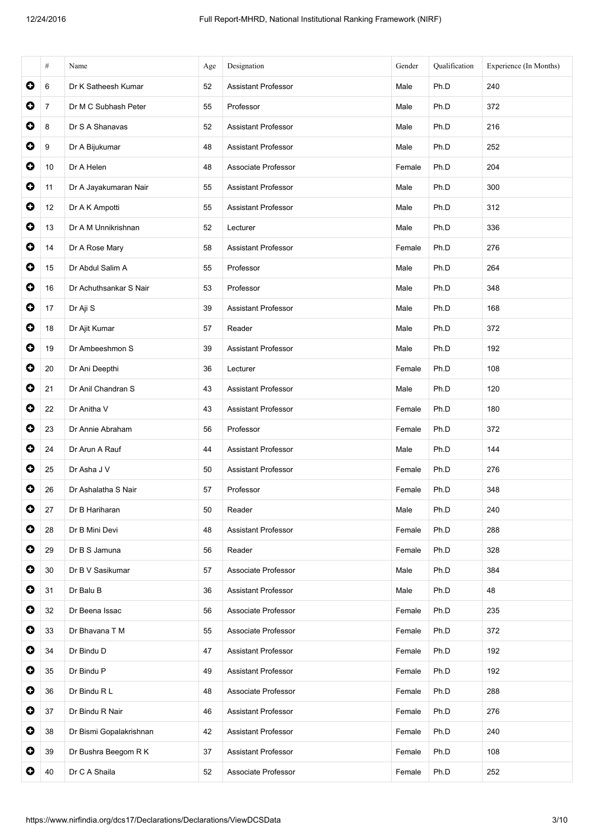|           | $\#$           | Name                    | Age | Designation                | Gender | Qualification | Experience (In Months) |
|-----------|----------------|-------------------------|-----|----------------------------|--------|---------------|------------------------|
| 0         | 6              | Dr K Satheesh Kumar     | 52  | <b>Assistant Professor</b> | Male   | Ph.D          | 240                    |
| 0         | $\overline{7}$ | Dr M C Subhash Peter    | 55  | Professor                  | Male   | Ph.D          | 372                    |
| $\bullet$ | 8              | Dr S A Shanavas         | 52  | <b>Assistant Professor</b> | Male   | Ph.D          | 216                    |
| 0         | 9              | Dr A Bijukumar          | 48  | <b>Assistant Professor</b> | Male   | Ph.D          | 252                    |
| $\bullet$ | 10             | Dr A Helen              | 48  | Associate Professor        | Female | Ph.D          | 204                    |
| $\bullet$ | 11             | Dr A Jayakumaran Nair   | 55  | <b>Assistant Professor</b> | Male   | Ph.D          | 300                    |
| 0         | 12             | Dr A K Ampotti          | 55  | <b>Assistant Professor</b> | Male   | Ph.D          | 312                    |
| 0         | 13             | Dr A M Unnikrishnan     | 52  | Lecturer                   | Male   | Ph.D          | 336                    |
| $\bullet$ | 14             | Dr A Rose Mary          | 58  | <b>Assistant Professor</b> | Female | Ph.D          | 276                    |
| $\bullet$ | 15             | Dr Abdul Salim A        | 55  | Professor                  | Male   | Ph.D          | 264                    |
| $\bullet$ | 16             | Dr Achuthsankar S Nair  | 53  | Professor                  | Male   | Ph.D          | 348                    |
| $\bullet$ | 17             | Dr Aji S                | 39  | <b>Assistant Professor</b> | Male   | Ph.D          | 168                    |
| $\bullet$ | 18             | Dr Ajit Kumar           | 57  | Reader                     | Male   | Ph.D          | 372                    |
| O         | 19             | Dr Ambeeshmon S         | 39  | <b>Assistant Professor</b> | Male   | Ph.D          | 192                    |
| 0         | 20             | Dr Ani Deepthi          | 36  | Lecturer                   | Female | Ph.D          | 108                    |
| $\bullet$ | 21             | Dr Anil Chandran S      | 43  | <b>Assistant Professor</b> | Male   | Ph.D          | 120                    |
| $\bullet$ | 22             | Dr Anitha V             | 43  | <b>Assistant Professor</b> | Female | Ph.D          | 180                    |
| $\bullet$ | 23             | Dr Annie Abraham        | 56  | Professor                  | Female | Ph.D          | 372                    |
| 0         | 24             | Dr Arun A Rauf          | 44  | <b>Assistant Professor</b> | Male   | Ph.D          | 144                    |
| 0         | 25             | Dr Asha J V             | 50  | <b>Assistant Professor</b> | Female | Ph.D          | 276                    |
| 0         | 26             | Dr Ashalatha S Nair     | 57  | Professor                  | Female | Ph.D          | 348                    |
| 0         | 27             | Dr B Hariharan          | 50  | Reader                     | Male   | Ph.D          | 240                    |
| 0         | 28             | Dr B Mini Devi          | 48  | <b>Assistant Professor</b> | Female | Ph.D          | 288                    |
| O         | 29             | Dr B S Jamuna           | 56  | Reader                     | Female | Ph.D          | 328                    |
| O         | 30             | Dr B V Sasikumar        | 57  | Associate Professor        | Male   | Ph.D          | 384                    |
| 0         | 31             | Dr Balu B               | 36  | <b>Assistant Professor</b> | Male   | Ph.D          | 48                     |
| O         | 32             | Dr Beena Issac          | 56  | Associate Professor        | Female | Ph.D          | 235                    |
| O         | 33             | Dr Bhavana T M          | 55  | Associate Professor        | Female | Ph.D          | 372                    |
| O         | 34             | Dr Bindu D              | 47  | <b>Assistant Professor</b> | Female | Ph.D          | 192                    |
| 0         | 35             | Dr Bindu P              | 49  | <b>Assistant Professor</b> | Female | Ph.D          | 192                    |
| O         | 36             | Dr Bindu R L            | 48  | Associate Professor        | Female | Ph.D          | 288                    |
| $\bullet$ | 37             | Dr Bindu R Nair         | 46  | Assistant Professor        | Female | Ph.D          | 276                    |
| O         | 38             | Dr Bismi Gopalakrishnan | 42  | <b>Assistant Professor</b> | Female | Ph.D          | 240                    |
| 0         | 39             | Dr Bushra Beegom R K    | 37  | <b>Assistant Professor</b> | Female | Ph.D          | 108                    |
| 0         | 40             | Dr C A Shaila           | 52  | Associate Professor        | Female | Ph.D          | 252                    |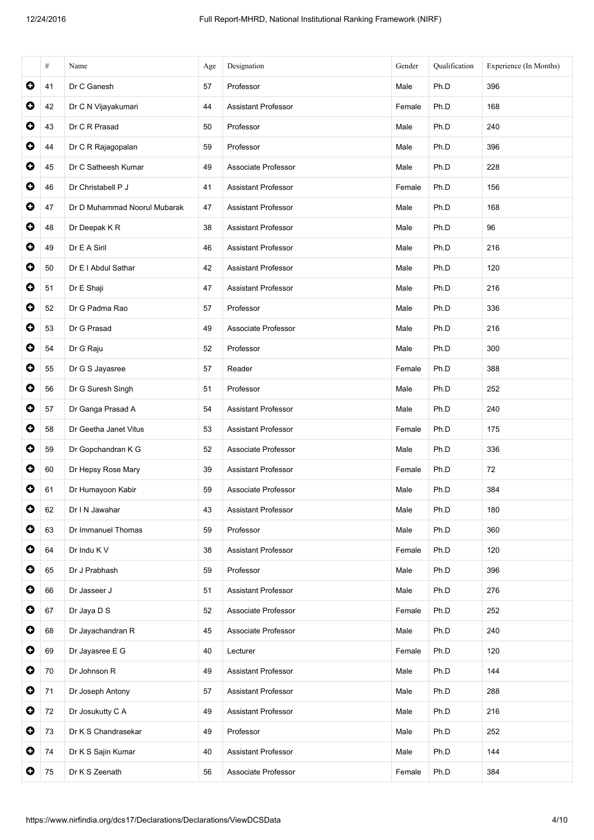|           | #  | Name                         | Age | Designation                | Gender | Qualification | Experience (In Months) |
|-----------|----|------------------------------|-----|----------------------------|--------|---------------|------------------------|
| $\bullet$ | 41 | Dr C Ganesh                  | 57  | Professor                  | Male   | Ph.D          | 396                    |
| $\bullet$ | 42 | Dr C N Vijayakumari          | 44  | <b>Assistant Professor</b> | Female | Ph.D          | 168                    |
| $\bullet$ | 43 | Dr C R Prasad                | 50  | Professor                  | Male   | Ph.D          | 240                    |
| $\bullet$ | 44 | Dr C R Rajagopalan           | 59  | Professor                  | Male   | Ph.D          | 396                    |
| $\bullet$ | 45 | Dr C Satheesh Kumar          | 49  | Associate Professor        | Male   | Ph.D          | 228                    |
| $\bullet$ | 46 | Dr Christabell P J           | 41  | <b>Assistant Professor</b> | Female | Ph.D          | 156                    |
| $\bullet$ | 47 | Dr D Muhammad Noorul Mubarak | 47  | <b>Assistant Professor</b> | Male   | Ph.D          | 168                    |
| $\bullet$ | 48 | Dr Deepak KR                 | 38  | <b>Assistant Professor</b> | Male   | Ph.D          | 96                     |
| $\bullet$ | 49 | Dr E A Siril                 | 46  | <b>Assistant Professor</b> | Male   | Ph.D          | 216                    |
| $\bullet$ | 50 | Dr E I Abdul Sathar          | 42  | <b>Assistant Professor</b> | Male   | Ph.D          | 120                    |
| $\bullet$ | 51 | Dr E Shaji                   | 47  | <b>Assistant Professor</b> | Male   | Ph.D          | 216                    |
| $\bullet$ | 52 | Dr G Padma Rao               | 57  | Professor                  | Male   | Ph.D          | 336                    |
| $\bullet$ | 53 | Dr G Prasad                  | 49  | Associate Professor        | Male   | Ph.D          | 216                    |
| $\bullet$ | 54 | Dr G Raju                    | 52  | Professor                  | Male   | Ph.D          | 300                    |
| $\bullet$ | 55 | Dr G S Jayasree              | 57  | Reader                     | Female | Ph.D          | 388                    |
| $\bullet$ | 56 | Dr G Suresh Singh            | 51  | Professor                  | Male   | Ph.D          | 252                    |
| 0         | 57 | Dr Ganga Prasad A            | 54  | <b>Assistant Professor</b> | Male   | Ph.D          | 240                    |
| $\bullet$ | 58 | Dr Geetha Janet Vitus        | 53  | <b>Assistant Professor</b> | Female | Ph.D          | 175                    |
| $\bullet$ | 59 | Dr Gopchandran K G           | 52  | Associate Professor        | Male   | Ph.D          | 336                    |
| 0         | 60 | Dr Hepsy Rose Mary           | 39  | <b>Assistant Professor</b> | Female | Ph.D          | 72                     |
| 0         | 61 | Dr Humayoon Kabir            | 59  | Associate Professor        | Male   | Ph.D          | 384                    |
| $\bullet$ | 62 | Dr I N Jawahar               | 43  | <b>Assistant Professor</b> | Male   | Ph.D          | 180                    |
| 0         | 63 | Dr Immanuel Thomas           | 59  | Professor                  | Male   | Ph.D          | 360                    |
| $\bullet$ | 64 | Dr Indu K V                  | 38  | <b>Assistant Professor</b> | Female | Ph.D          | 120                    |
| $\bullet$ | 65 | Dr J Prabhash                | 59  | Professor                  | Male   | Ph.D          | 396                    |
| $\bullet$ | 66 | Dr Jasseer J                 | 51  | Assistant Professor        | Male   | Ph.D          | 276                    |
| $\bullet$ | 67 | Dr Jaya D S                  | 52  | Associate Professor        | Female | Ph.D          | 252                    |
| 0         | 68 | Dr Jayachandran R            | 45  | Associate Professor        | Male   | Ph.D          | 240                    |
| $\bullet$ | 69 | Dr Jayasree E G              | 40  | Lecturer                   | Female | Ph.D          | 120                    |
| $\bullet$ | 70 | Dr Johnson R                 | 49  | <b>Assistant Professor</b> | Male   | Ph.D          | 144                    |
| $\bullet$ | 71 | Dr Joseph Antony             | 57  | <b>Assistant Professor</b> | Male   | Ph.D          | 288                    |
| $\bullet$ | 72 | Dr Josukutty C A             | 49  | <b>Assistant Professor</b> | Male   | Ph.D          | 216                    |
| $\bullet$ | 73 | Dr K S Chandrasekar          | 49  | Professor                  | Male   | Ph.D          | 252                    |
| $\bullet$ | 74 | Dr K S Sajin Kumar           | 40  | Assistant Professor        | Male   | Ph.D          | 144                    |
| $\bullet$ | 75 | Dr K S Zeenath               | 56  | Associate Professor        | Female | Ph.D          | 384                    |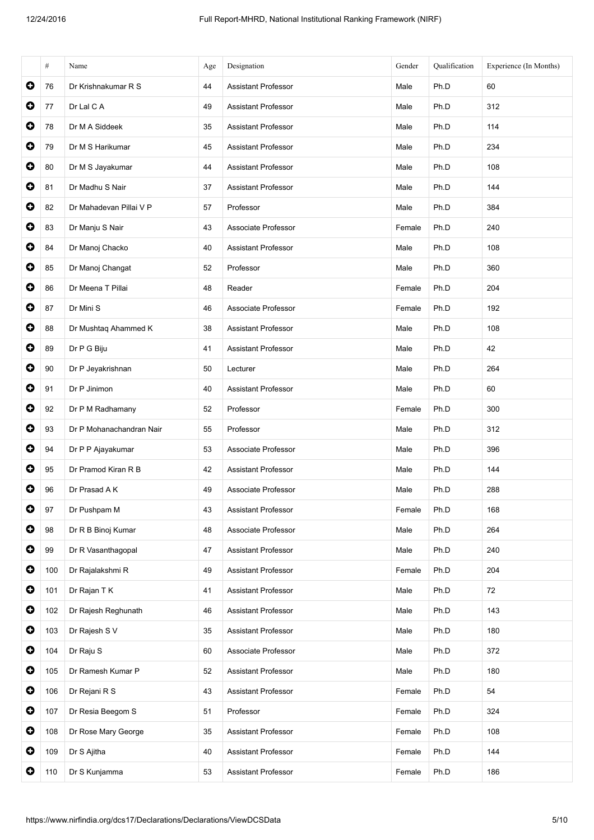|           | $\#$ | Name                     | Age | Designation                | Gender | Qualification | Experience (In Months) |
|-----------|------|--------------------------|-----|----------------------------|--------|---------------|------------------------|
| $\bullet$ | 76   | Dr Krishnakumar R S      | 44  | <b>Assistant Professor</b> | Male   | Ph.D          | 60                     |
| $\bullet$ | 77   | Dr Lal C A               | 49  | <b>Assistant Professor</b> | Male   | Ph.D          | 312                    |
| $\bullet$ | 78   | Dr M A Siddeek           | 35  | <b>Assistant Professor</b> | Male   | Ph.D          | 114                    |
| 0         | 79   | Dr M S Harikumar         | 45  | <b>Assistant Professor</b> | Male   | Ph.D          | 234                    |
| $\bullet$ | 80   | Dr M S Jayakumar         | 44  | <b>Assistant Professor</b> | Male   | Ph.D          | 108                    |
| $\bullet$ | 81   | Dr Madhu S Nair          | 37  | <b>Assistant Professor</b> | Male   | Ph.D          | 144                    |
| $\bullet$ | 82   | Dr Mahadevan Pillai V P  | 57  | Professor                  | Male   | Ph.D          | 384                    |
| $\bullet$ | 83   | Dr Manju S Nair          | 43  | Associate Professor        | Female | Ph.D          | 240                    |
| $\bullet$ | 84   | Dr Manoj Chacko          | 40  | <b>Assistant Professor</b> | Male   | Ph.D          | 108                    |
| $\bullet$ | 85   | Dr Manoj Changat         | 52  | Professor                  | Male   | Ph.D          | 360                    |
| $\bullet$ | 86   | Dr Meena T Pillai        | 48  | Reader                     | Female | Ph.D          | 204                    |
| $\bullet$ | 87   | Dr Mini S                | 46  | Associate Professor        | Female | Ph.D          | 192                    |
| $\bullet$ | 88   | Dr Mushtaq Ahammed K     | 38  | Assistant Professor        | Male   | Ph.D          | 108                    |
| $\bullet$ | 89   | Dr P G Biju              | 41  | <b>Assistant Professor</b> | Male   | Ph.D          | 42                     |
| 0         | 90   | Dr P Jeyakrishnan        | 50  | Lecturer                   | Male   | Ph.D          | 264                    |
| $\bullet$ | 91   | Dr P Jinimon             | 40  | <b>Assistant Professor</b> | Male   | Ph.D          | 60                     |
| $\bullet$ | 92   | Dr P M Radhamany         | 52  | Professor                  | Female | Ph.D          | 300                    |
| $\bullet$ | 93   | Dr P Mohanachandran Nair | 55  | Professor                  | Male   | Ph.D          | 312                    |
| $\bullet$ | 94   | Dr P P Ajayakumar        | 53  | Associate Professor        | Male   | Ph.D          | 396                    |
| 0         | 95   | Dr Pramod Kiran R B      | 42  | <b>Assistant Professor</b> | Male   | Ph.D          | 144                    |
| 0         | 96   | Dr Prasad A K            | 49  | Associate Professor        | Male   | Ph.D          | 288                    |
| $\bullet$ | 97   | Dr Pushpam M             | 43  | <b>Assistant Professor</b> | Female | Ph.D          | 168                    |
| $\bullet$ | 98   | Dr R B Binoj Kumar       | 48  | Associate Professor        | Male   | Ph.D          | 264                    |
| $\bullet$ | 99   | Dr R Vasanthagopal       | 47  | <b>Assistant Professor</b> | Male   | Ph.D          | 240                    |
| $\bullet$ | 100  | Dr Rajalakshmi R         | 49  | <b>Assistant Professor</b> | Female | Ph.D          | 204                    |
| $\bullet$ | 101  | Dr Rajan T K             | 41  | Assistant Professor        | Male   | Ph.D          | 72                     |
| $\bullet$ | 102  | Dr Rajesh Reghunath      | 46  | Assistant Professor        | Male   | Ph.D          | 143                    |
| $\bullet$ | 103  | Dr Rajesh S V            | 35  | <b>Assistant Professor</b> | Male   | Ph.D          | 180                    |
| $\bullet$ | 104  | Dr Raju S                | 60  | Associate Professor        | Male   | Ph.D          | 372                    |
| $\bullet$ | 105  | Dr Ramesh Kumar P        | 52  | Assistant Professor        | Male   | Ph.D          | 180                    |
| $\bullet$ | 106  | Dr Rejani R S            | 43  | <b>Assistant Professor</b> | Female | Ph.D          | 54                     |
| $\bullet$ | 107  | Dr Resia Beegom S        | 51  | Professor                  | Female | Ph.D          | 324                    |
| $\bullet$ | 108  | Dr Rose Mary George      | 35  | <b>Assistant Professor</b> | Female | Ph.D          | 108                    |
| $\bullet$ | 109  | Dr S Ajitha              | 40  | Assistant Professor        | Female | Ph.D          | 144                    |
| $\bullet$ | 110  | Dr S Kunjamma            | 53  | Assistant Professor        | Female | Ph.D          | 186                    |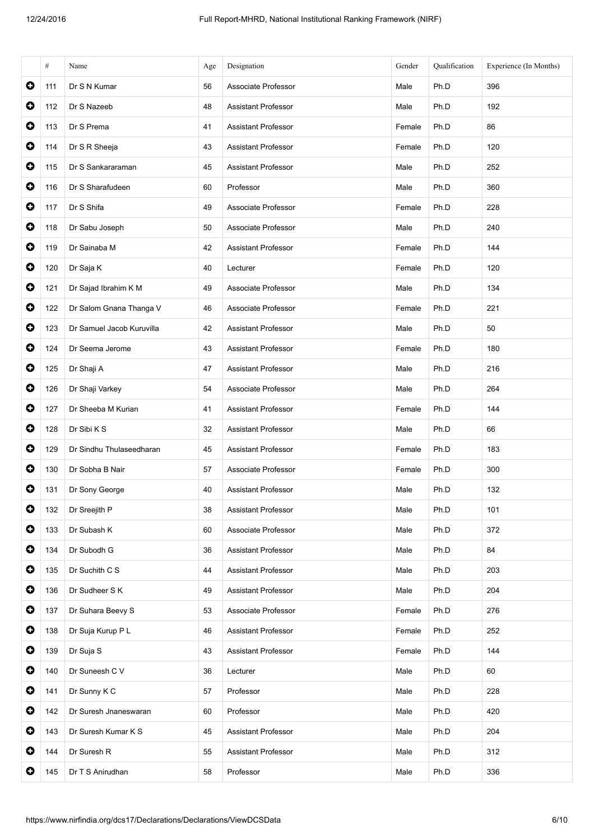|           | #   | Name                      | Age | Designation                | Gender | Qualification | Experience (In Months) |
|-----------|-----|---------------------------|-----|----------------------------|--------|---------------|------------------------|
| $\bullet$ | 111 | Dr S N Kumar              | 56  | Associate Professor        | Male   | Ph.D          | 396                    |
| $\bullet$ | 112 | Dr S Nazeeb               | 48  | <b>Assistant Professor</b> | Male   | Ph.D          | 192                    |
| $\bullet$ | 113 | Dr S Prema                | 41  | <b>Assistant Professor</b> | Female | Ph.D          | 86                     |
| $\bullet$ | 114 | Dr S R Sheeja             | 43  | <b>Assistant Professor</b> | Female | Ph.D          | 120                    |
| $\bullet$ | 115 | Dr S Sankararaman         | 45  | Assistant Professor        | Male   | Ph.D          | 252                    |
| $\bullet$ | 116 | Dr S Sharafudeen          | 60  | Professor                  | Male   | Ph.D          | 360                    |
| $\bullet$ | 117 | Dr S Shifa                | 49  | Associate Professor        | Female | Ph.D          | 228                    |
| $\bullet$ | 118 | Dr Sabu Joseph            | 50  | Associate Professor        | Male   | Ph.D          | 240                    |
| $\bullet$ | 119 | Dr Sainaba M              | 42  | Assistant Professor        | Female | Ph.D          | 144                    |
| $\bullet$ | 120 | Dr Saja K                 | 40  | Lecturer                   | Female | Ph.D          | 120                    |
| $\bullet$ | 121 | Dr Sajad Ibrahim K M      | 49  | Associate Professor        | Male   | Ph.D          | 134                    |
| $\bullet$ | 122 | Dr Salom Gnana Thanga V   | 46  | Associate Professor        | Female | Ph.D          | 221                    |
| $\bullet$ | 123 | Dr Samuel Jacob Kuruvilla | 42  | <b>Assistant Professor</b> | Male   | Ph.D          | 50                     |
| $\bullet$ | 124 | Dr Seema Jerome           | 43  | <b>Assistant Professor</b> | Female | Ph.D          | 180                    |
| $\bullet$ | 125 | Dr Shaji A                | 47  | <b>Assistant Professor</b> | Male   | Ph.D          | 216                    |
| $\bullet$ | 126 | Dr Shaji Varkey           | 54  | Associate Professor        | Male   | Ph.D          | 264                    |
| $\bullet$ | 127 | Dr Sheeba M Kurian        | 41  | <b>Assistant Professor</b> | Female | Ph.D          | 144                    |
| $\bullet$ | 128 | Dr Sibi K S               | 32  | Assistant Professor        | Male   | Ph.D          | 66                     |
| $\bullet$ | 129 | Dr Sindhu Thulaseedharan  | 45  | <b>Assistant Professor</b> | Female | Ph.D          | 183                    |
| 0         | 130 | Dr Sobha B Nair           | 57  | Associate Professor        | Female | Ph.D          | 300                    |
| 0         | 131 | Dr Sony George            | 40  | <b>Assistant Professor</b> | Male   | Ph.D          | 132                    |
| $\bullet$ | 132 | Dr Sreejith P             | 38  | <b>Assistant Professor</b> | Male   | Ph.D          | 101                    |
| $\bullet$ | 133 | Dr Subash K               | 60  | Associate Professor        | Male   | Ph.D          | 372                    |
| $\bullet$ | 134 | Dr Subodh G               | 36  | <b>Assistant Professor</b> | Male   | Ph.D          | 84                     |
| 0         | 135 | Dr Suchith C S            | 44  | <b>Assistant Professor</b> | Male   | Ph.D          | 203                    |
| $\bullet$ | 136 | Dr Sudheer S K            | 49  | <b>Assistant Professor</b> | Male   | Ph.D          | 204                    |
| $\bullet$ | 137 | Dr Suhara Beevy S         | 53  | Associate Professor        | Female | Ph.D          | 276                    |
| $\bullet$ | 138 | Dr Suja Kurup P L         | 46  | Assistant Professor        | Female | Ph.D          | 252                    |
| $\bullet$ | 139 | Dr Suja S                 | 43  | Assistant Professor        | Female | Ph.D          | 144                    |
| $\bullet$ | 140 | Dr Suneesh C V            | 36  | Lecturer                   | Male   | Ph.D          | 60                     |
| $\bullet$ | 141 | Dr Sunny K C              | 57  | Professor                  | Male   | Ph.D          | 228                    |
| 0         | 142 | Dr Suresh Jnaneswaran     | 60  | Professor                  | Male   | Ph.D          | 420                    |
| $\bullet$ | 143 | Dr Suresh Kumar K S       | 45  | <b>Assistant Professor</b> | Male   | Ph.D          | 204                    |
| 0         | 144 | Dr Suresh R               | 55  | Assistant Professor        | Male   | Ph.D          | 312                    |
| 0         | 145 | Dr T S Anirudhan          | 58  | Professor                  | Male   | Ph.D          | 336                    |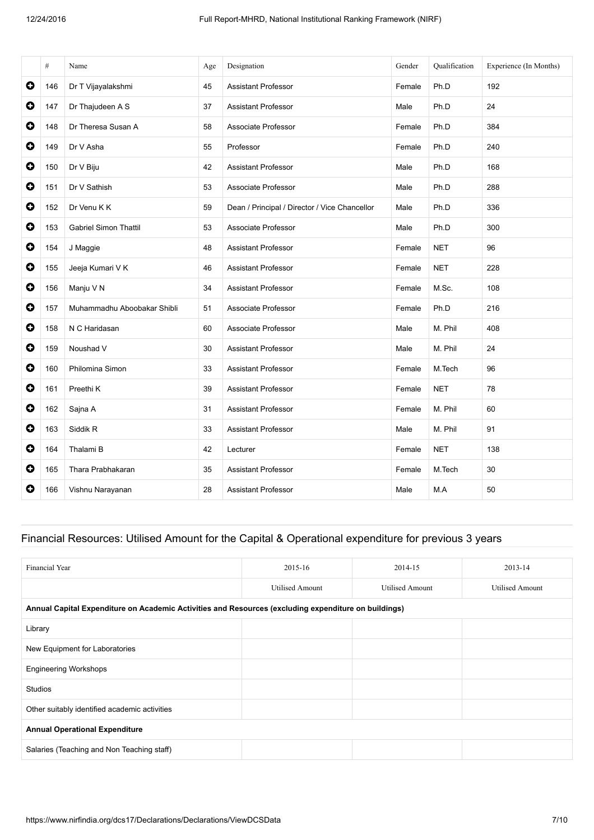|           | #   | Name                         | Age | Designation                                   | Gender | Qualification | Experience (In Months) |
|-----------|-----|------------------------------|-----|-----------------------------------------------|--------|---------------|------------------------|
| $\bullet$ | 146 | Dr T Vijayalakshmi           | 45  | <b>Assistant Professor</b>                    | Female | Ph.D          | 192                    |
| $\bullet$ | 147 | Dr Thajudeen A S             | 37  | <b>Assistant Professor</b>                    | Male   | Ph.D          | 24                     |
| $\bullet$ | 148 | Dr Theresa Susan A           | 58  | Associate Professor                           | Female | Ph.D          | 384                    |
| $\bullet$ | 149 | Dr V Asha                    | 55  | Professor                                     | Female | Ph.D          | 240                    |
| $\bullet$ | 150 | Dr V Biju                    | 42  | <b>Assistant Professor</b>                    | Male   | Ph.D          | 168                    |
| $\bullet$ | 151 | Dr V Sathish                 | 53  | Associate Professor                           | Male   | Ph.D          | 288                    |
| $\bullet$ | 152 | Dr Venu K K                  | 59  | Dean / Principal / Director / Vice Chancellor | Male   | Ph.D          | 336                    |
| $\bullet$ | 153 | <b>Gabriel Simon Thattil</b> | 53  | Associate Professor                           | Male   | Ph.D          | 300                    |
| $\bullet$ | 154 | J Maggie                     | 48  | <b>Assistant Professor</b>                    | Female | <b>NET</b>    | 96                     |
| $\bullet$ | 155 | Jeeja Kumari V K             | 46  | <b>Assistant Professor</b>                    | Female | <b>NET</b>    | 228                    |
| $\bullet$ | 156 | Manju V N                    | 34  | <b>Assistant Professor</b>                    | Female | M.Sc.         | 108                    |
| $\bullet$ | 157 | Muhammadhu Aboobakar Shibli  | 51  | Associate Professor                           | Female | Ph.D          | 216                    |
| $\bullet$ | 158 | N C Haridasan                | 60  | Associate Professor                           | Male   | M. Phil       | 408                    |
| $\bullet$ | 159 | Noushad V                    | 30  | <b>Assistant Professor</b>                    | Male   | M. Phil       | 24                     |
| $\bullet$ | 160 | Philomina Simon              | 33  | <b>Assistant Professor</b>                    | Female | M.Tech        | 96                     |
| $\bullet$ | 161 | Preethi K                    | 39  | <b>Assistant Professor</b>                    | Female | <b>NET</b>    | 78                     |
| $\bullet$ | 162 | Sajna A                      | 31  | <b>Assistant Professor</b>                    | Female | M. Phil       | 60                     |
| $\bullet$ | 163 | Siddik R                     | 33  | <b>Assistant Professor</b>                    | Male   | M. Phil       | 91                     |
| $\bullet$ | 164 | Thalami B                    | 42  | Lecturer                                      | Female | <b>NET</b>    | 138                    |
| $\bullet$ | 165 | Thara Prabhakaran            | 35  | <b>Assistant Professor</b>                    | Female | M.Tech        | 30                     |
| $\bullet$ | 166 | Vishnu Narayanan             | 28  | <b>Assistant Professor</b>                    | Male   | M.A           | 50                     |

## Financial Resources: Utilised Amount for the Capital & Operational expenditure for previous 3 years

| Financial Year                                                                                       | 2015-16                | 2014-15                | 2013-14                |
|------------------------------------------------------------------------------------------------------|------------------------|------------------------|------------------------|
|                                                                                                      | <b>Utilised Amount</b> | <b>Utilised Amount</b> | <b>Utilised Amount</b> |
| Annual Capital Expenditure on Academic Activities and Resources (excluding expenditure on buildings) |                        |                        |                        |
| Library                                                                                              |                        |                        |                        |
| New Equipment for Laboratories                                                                       |                        |                        |                        |
| <b>Engineering Workshops</b>                                                                         |                        |                        |                        |
| <b>Studios</b>                                                                                       |                        |                        |                        |
| Other suitably identified academic activities                                                        |                        |                        |                        |
| <b>Annual Operational Expenditure</b>                                                                |                        |                        |                        |
| Salaries (Teaching and Non Teaching staff)                                                           |                        |                        |                        |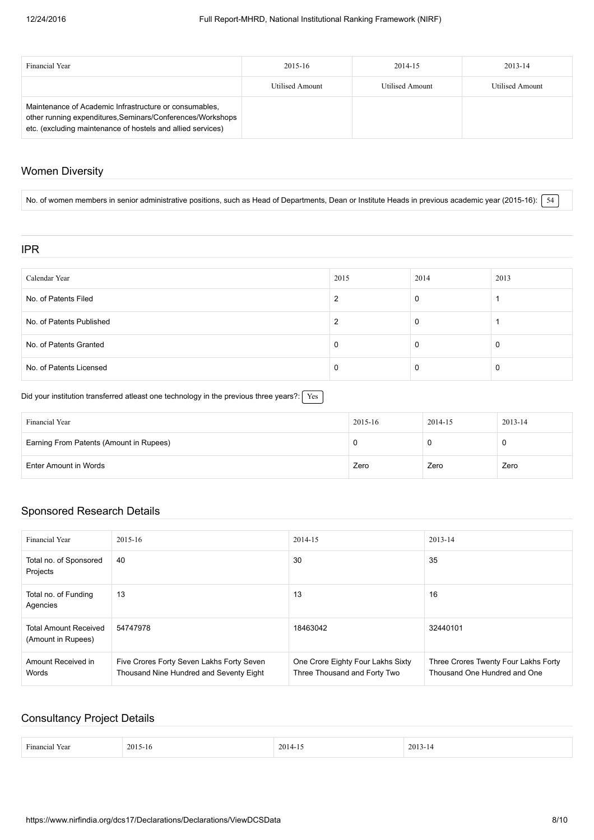| Financial Year                                                                                                                                                                      | 2015-16         | 2014-15         | 2013-14         |
|-------------------------------------------------------------------------------------------------------------------------------------------------------------------------------------|-----------------|-----------------|-----------------|
|                                                                                                                                                                                     | Utilised Amount | Utilised Amount | Utilised Amount |
| Maintenance of Academic Infrastructure or consumables,<br>other running expenditures, Seminars/Conferences/Workshops<br>etc. (excluding maintenance of hostels and allied services) |                 |                 |                 |

### Women Diversity

No. of women members in senior administrative positions, such as Head of Departments, Dean or Institute Heads in previous academic year (2015-16):  $\sqrt{54}$ 

### IPR

| Calendar Year            | 2015 | 2014 | 2013 |
|--------------------------|------|------|------|
| No. of Patents Filed     |      | 0    |      |
| No. of Patents Published |      | 0    |      |
| No. of Patents Granted   |      | 0    | -0   |
| No. of Patents Licensed  |      | 0    |      |

Did your institution transferred atleast one technology in the previous three years?:  $Yes$ 

| Financial Year                          | 2015-16 | 2014-15 | 2013-14 |
|-----------------------------------------|---------|---------|---------|
| Earning From Patents (Amount in Rupees) |         |         | ◡       |
| Enter Amount in Words                   | Zero    | Zero    | Zero    |

### Sponsored Research Details

| Financial Year                                     | 2015-16                                                                              | 2014-15                                                           | 2013-14                                                              |
|----------------------------------------------------|--------------------------------------------------------------------------------------|-------------------------------------------------------------------|----------------------------------------------------------------------|
| Total no. of Sponsored<br>Projects                 | 40                                                                                   | 30                                                                | 35                                                                   |
| Total no. of Funding<br>Agencies                   | 13                                                                                   | 13                                                                | 16                                                                   |
| <b>Total Amount Received</b><br>(Amount in Rupees) | 54747978                                                                             | 18463042                                                          | 32440101                                                             |
| Amount Received in<br>Words                        | Five Crores Forty Seven Lakhs Forty Seven<br>Thousand Nine Hundred and Seventy Eight | One Crore Eighty Four Lakhs Sixty<br>Three Thousand and Forty Two | Three Crores Twenty Four Lakhs Forty<br>Thousand One Hundred and One |

### Consultancy Project Details

| $\overline{\phantom{a}}$ | <b>20</b><br>- 10<br>`- | 201 | 20 |
|--------------------------|-------------------------|-----|----|
|                          |                         |     |    |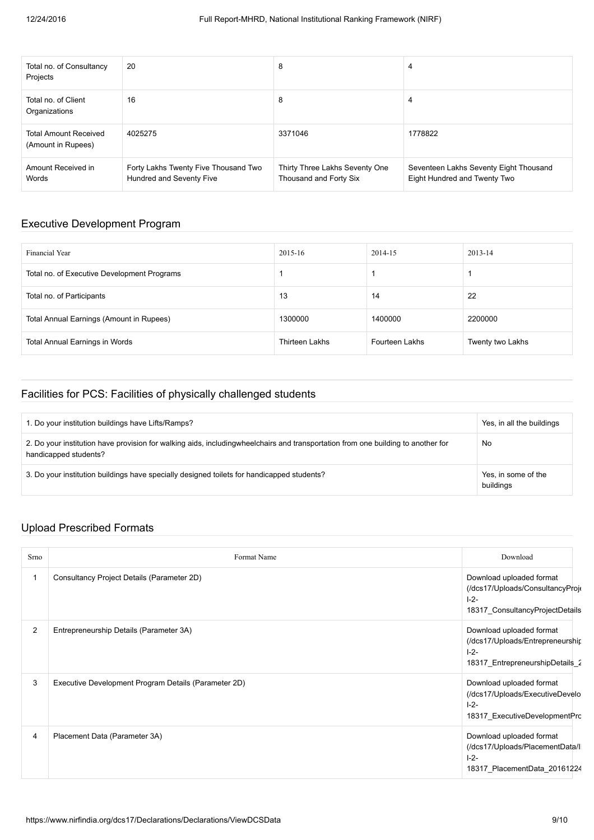| Total no. of Consultancy<br>Projects               | 20                                                               | 8                                                        | 4                                                                      |
|----------------------------------------------------|------------------------------------------------------------------|----------------------------------------------------------|------------------------------------------------------------------------|
| Total no. of Client<br>Organizations               | 16                                                               | 8                                                        | 4                                                                      |
| <b>Total Amount Received</b><br>(Amount in Rupees) | 4025275                                                          | 3371046                                                  | 1778822                                                                |
| Amount Received in<br>Words                        | Forty Lakhs Twenty Five Thousand Two<br>Hundred and Seventy Five | Thirty Three Lakhs Seventy One<br>Thousand and Forty Six | Seventeen Lakhs Seventy Eight Thousand<br>Eight Hundred and Twenty Two |

## Executive Development Program

| Financial Year                              | 2015-16               | 2014-15        | $2013 - 14$      |
|---------------------------------------------|-----------------------|----------------|------------------|
| Total no. of Executive Development Programs |                       |                |                  |
| Total no. of Participants                   | 13                    | 14             | 22               |
| Total Annual Earnings (Amount in Rupees)    | 1300000               | 1400000        | 2200000          |
| Total Annual Earnings in Words              | <b>Thirteen Lakhs</b> | Fourteen Lakhs | Twenty two Lakhs |

### Facilities for PCS: Facilities of physically challenged students

| 1. Do your institution buildings have Lifts/Ramps?                                                                                                        | Yes, in all the buildings        |
|-----------------------------------------------------------------------------------------------------------------------------------------------------------|----------------------------------|
| 2. Do your institution have provision for walking aids, includingwheelchairs and transportation from one building to another for<br>handicapped students? | No                               |
| 3. Do your institution buildings have specially designed toilets for handicapped students?                                                                | Yes, in some of the<br>buildings |

## Upload Prescribed Formats

| Srno           | Format Name                                          | Download                                                                                                     |
|----------------|------------------------------------------------------|--------------------------------------------------------------------------------------------------------------|
|                | Consultancy Project Details (Parameter 2D)           | Download uploaded format<br>(/dcs17/Uploads/ConsultancyProje<br>$1 - 2 -$<br>18317 ConsultancyProjectDetails |
| $\overline{2}$ | Entrepreneurship Details (Parameter 3A)              | Download uploaded format<br>(/dcs17/Uploads/Entrepreneurship<br>$ -2-$<br>18317 EntrepreneurshipDetails 2    |
| 3              | Executive Development Program Details (Parameter 2D) | Download uploaded format<br>(/dcs17/Uploads/ExecutiveDevelo<br>$1 - 2 -$<br>18317 ExecutiveDevelopmentPrc    |
| $\overline{4}$ | Placement Data (Parameter 3A)                        | Download uploaded format<br>(/dcs17/Uploads/PlacementData/l<br>$1 - 2 -$<br>18317 PlacementData 20161224     |